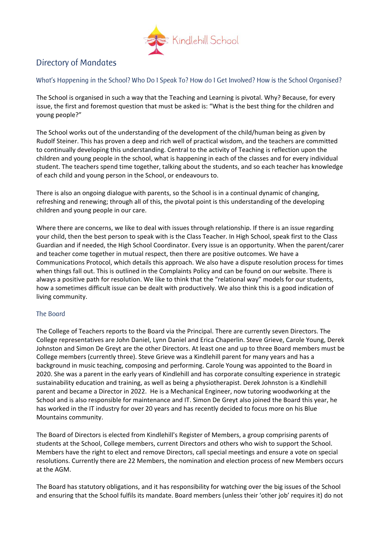

# Directory of Mandates

What's Happening in the School? Who Do I Speak To? How do I Get Involved? How is the School Organised?

The School is organised in such a way that the Teaching and Learning is pivotal. Why? Because, for every issue, the first and foremost question that must be asked is: "What is the best thing for the children and young people?"

The School works out of the understanding of the development of the child/human being as given by Rudolf Steiner. This has proven a deep and rich well of practical wisdom, and the teachers are committed to continually developing this understanding. Central to the activity of Teaching is reflection upon the children and young people in the school, what is happening in each of the classes and for every individual student. The teachers spend time together, talking about the students, and so each teacher has knowledge of each child and young person in the School, or endeavours to.

There is also an ongoing dialogue with parents, so the School is in a continual dynamic of changing, refreshing and renewing; through all of this, the pivotal point is this understanding of the developing children and young people in our care.

Where there are concerns, we like to deal with issues through relationship. If there is an issue regarding your child, then the best person to speak with is the Class Teacher. In High School, speak first to the Class Guardian and if needed, the High School Coordinator. Every issue is an opportunity. When the parent/carer and teacher come together in mutual respect, then there are positive outcomes. We have a Communications Protocol, which details this approach. We also have a dispute resolution process for times when things fall out. This is outlined in the Complaints Policy and can be found on our website. There is always a positive path for resolution. We like to think that the "relational way" models for our students, how a sometimes difficult issue can be dealt with productively. We also think this is a good indication of living community.

# The Board

The College of Teachers reports to the Board via the Principal. There are currently seven Directors. The College representatives are John Daniel, Lynn Daniel and Erica Chaperlin. Steve Grieve, Carole Young, Derek Johnston and Simon De Greyt are the other Directors. At least one and up to three Board members must be College members (currently three). Steve Grieve was a Kindlehill parent for many years and has a background in music teaching, composing and performing. Carole Young was appointed to the Board in 2020. She was a parent in the early years of Kindlehill and has corporate consulting experience in strategic sustainability education and training, as well as being a physiotherapist. Derek Johnston is a Kindlehill parent and became a Director in 2022. He is a Mechanical Engineer, now tutoring woodworking at the School and is also responsible for maintenance and IT. Simon De Greyt also joined the Board this year, he has worked in the IT industry for over 20 years and has recently decided to focus more on his Blue Mountains community.

The Board of Directors is elected from Kindlehill's Register of Members, a group comprising parents of students at the School, College members, current Directors and others who wish to support the School. Members have the right to elect and remove Directors, call special meetings and ensure a vote on special resolutions. Currently there are 22 Members, the nomination and election process of new Members occurs at the AGM.

The Board has statutory obligations, and it has responsibility for watching over the big issues of the School and ensuring that the School fulfils its mandate. Board members (unless their 'other job' requires it) do not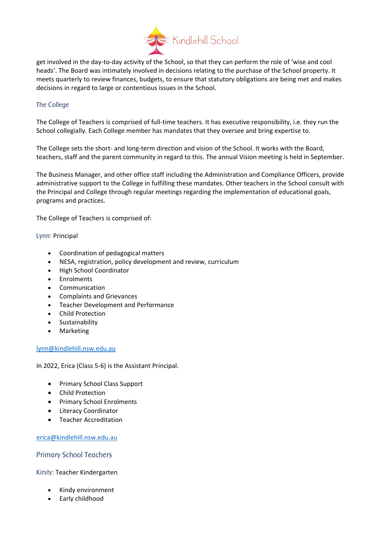

get involved in the day-to-day activity of the School, so that they can perform the role of 'wise and cool heads'. The Board was intimately involved in decisions relating to the purchase of the School property. It meets quarterly to review finances, budgets, to ensure that statutory obligations are being met and makes decisions in regard to large or contentious issues in the School.

# The College

The College of Teachers is comprised of full-time teachers. It has executive responsibility, i.e. they run the School collegially. Each College member has mandates that they oversee and bring expertise to.

The College sets the short- and long-term direction and vision of the School. It works with the Board, teachers, staff and the parent community in regard to this. The annual Vision meeting is held in September.

The Business Manager, and other office staff including the Administration and Compliance Officers, provide administrative support to the College in fulfilling these mandates. Other teachers in the School consult with the Principal and College through regular meetings regarding the implementation of educational goals, programs and practices.

The College of Teachers is comprised of:

#### Lynn: Principal

- Coordination of pedagogical matters
- NESA, registration, policy development and review, curriculum
- High School Coordinator
- Enrolments
- Communication
- Complaints and Grievances
- Teacher Development and Performance
- Child Protection
- Sustainability
- Marketing

#### [lynn@kindlehill.nsw.edu.au](mailto:lynn@kindlehill.nsw.edu.au)

In 2022, Erica (Class 5-6) is the Assistant Principal.

- Primary School Class Support
- Child Protection
- Primary School Enrolments
- Literacy Coordinator
- Teacher Accreditation

[erica@kindlehill.nsw.edu.au](mailto:erica@kindlehill.nsw.edu.au)

# Primary School Teachers

Kirsty: Teacher Kindergarten

- Kindy environment
- Early childhood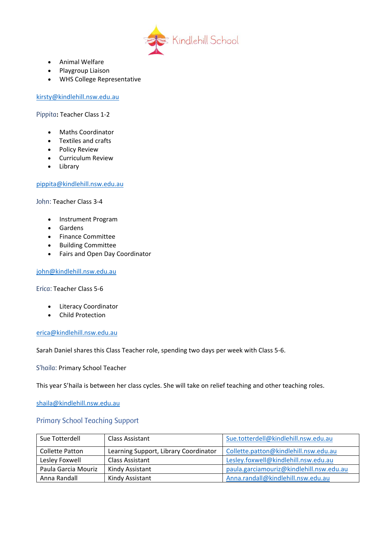

- Animal Welfare
- Playgroup Liaison
- WHS College Representative

[kirsty@kindlehill.nsw.edu.au](mailto:kirsty@kindlehill.nsw.edu.au)

Pippita**:** Teacher Class 1-2

- Maths Coordinator
- Textiles and crafts
- Policy Review
- Curriculum Review
- Library

# [pippita@kindlehill.nsw.edu.au](mailto:pippita@kindlehill.nsw.edu.au)

John: Teacher Class 3-4

- Instrument Program
- Gardens
- Finance Committee
- Building Committee
- Fairs and Open Day Coordinator

[john@kindlehill.nsw.edu.au](mailto:john@kindlehill.nsw.edu.au)

Erica: Teacher Class 5-6

- Literacy Coordinator
- Child Protection

[erica@kindlehill.nsw.edu.au](mailto:erica@kindlehill.nsw.edu.au)

Sarah Daniel shares this Class Teacher role, spending two days per week with Class 5-6.

S'haila: Primary School Teacher

This year S'haila is between her class cycles. She will take on relief teaching and other teaching roles.

[shaila@kindlehill.nsw.edu.au](mailto:shaila@kindlehill.nsw.edu.au)

### Primary School Teaching Support

| Sue Totterdell      | Class Assistant                       | Sue.totterdell@kindlehill.nsw.edu.au     |
|---------------------|---------------------------------------|------------------------------------------|
| Collette Patton     | Learning Support, Library Coordinator | Collette.patton@kindlehill.nsw.edu.au    |
| Lesley Foxwell      | Class Assistant                       | Lesley.foxwell@kindlehill.nsw.edu.au     |
| Paula Garcia Mouriz | Kindy Assistant                       | paula.garciamouriz@kindlehill.nsw.edu.au |
| Anna Randall        | Kindy Assistant                       | Anna.randall@kindlehill.nsw.edu.au       |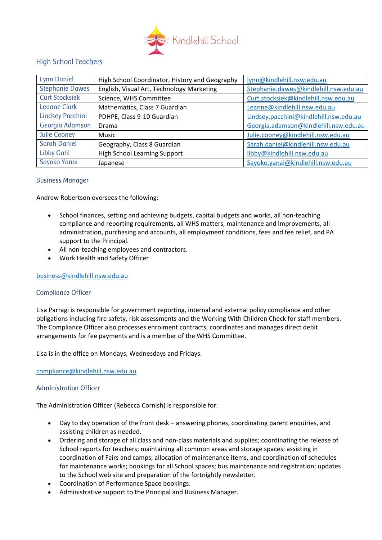

# High School Teachers

| Lynn Daniel            | High School Coordinator, History and Geography | lynn@kindlehill.nsw.edu.au             |
|------------------------|------------------------------------------------|----------------------------------------|
| <b>Stephanie Dawes</b> | English, Visual Art, Technology Marketing      | Stephanie.dawes@kindlehill.nsw.edu.au  |
| <b>Curt Stocksiek</b>  | Science, WHS Committee                         | Curt.stocksiek@kindlehill.nsw.edu.au   |
| Leanne Clark           | Mathematics, Class 7 Guardian                  | Leanne@kindlehill.nsw.edu.au           |
| Lindsey Pacchini       | PDHPE, Class 9-10 Guardian                     | Lindsey.pacchini@kindlehill.nsw.edu.au |
| Georgia Adamson        | Drama                                          | Georgia.adamson@kindlehill.nsw.edu.au  |
| Julie Cooney           | Music                                          | Julie.cooney@kindlehill.nsw.edu.au     |
| <b>Sarah Daniel</b>    | Geography, Class 8 Guardian                    | Sarah.daniel@kindlehill.nsw.edu.au     |
| <b>Libby Gahl</b>      | <b>High School Learning Support</b>            | libby@kindlehill.nsw.edu.au            |
| Sayoko Yanai           | Japanese                                       | Sayoko.yanai@kindlehill.nsw.edu.au     |

# Business Manager

Andrew Robertson oversees the following:

- School finances, setting and achieving budgets, capital budgets and works, all non-teaching compliance and reporting requirements, all WHS matters, maintenance and improvements, all administration, purchasing and accounts, all employment conditions, fees and fee relief, and PA support to the Principal.
- All non-teaching employees and contractors.
- Work Health and Safety Officer

#### [business@kindlehill.nsw.edu.au](mailto:business@kindlehill.nsw.edu.au)

#### Compliance Officer

Lisa Parragi is responsible for government reporting, internal and external policy compliance and other obligations including fire safety, risk assessments and the Working With Children Check for staff members. The Compliance Officer also processes enrolment contracts, coordinates and manages direct debit arrangements for fee payments and is a member of the WHS Committee.

Lisa is in the office on Mondays, Wednesdays and Fridays.

[compliance@kindlehill.nsw.edu.au](mailto:compliance@kindlehill.nsw.edu.au)

#### Administration Officer

The Administration Officer (Rebecca Cornish) is responsible for:

- Day to day operation of the front desk answering phones, coordinating parent enquiries, and assisting children as needed.
- Ordering and storage of all class and non-class materials and supplies; coordinating the release of School reports for teachers; maintaining all common areas and storage spaces; assisting in coordination of Fairs and camps; allocation of maintenance items, and coordination of schedules for maintenance works; bookings for all School spaces; bus maintenance and registration; updates to the School web site and preparation of the fortnightly newsletter.
- Coordination of Performance Space bookings.
- Administrative support to the Principal and Business Manager.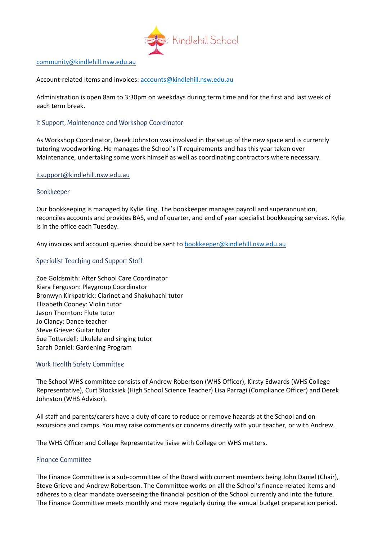

#### [community@kindlehill.nsw.edu.au](mailto:community@kindlehill.nsw.edu.au)

Account-related items and invoices: [accounts@kindlehill.nsw.edu.au](mailto:accounts@kindlehill.nsw.edu.au)

Administration is open 8am to 3:30pm on weekdays during term time and for the first and last week of each term break.

#### It Support, Maintenance and Workshop Coordinator

As Workshop Coordinator, Derek Johnston was involved in the setup of the new space and is currently tutoring woodworking. He manages the School's IT requirements and has this year taken over Maintenance, undertaking some work himself as well as coordinating contractors where necessary.

#### itsupport@kindlehill.nsw.edu.au

#### Bookkeeper

Our bookkeeping is managed by Kylie King. The bookkeeper manages payroll and superannuation, reconciles accounts and provides BAS, end of quarter, and end of year specialist bookkeeping services. Kylie is in the office each Tuesday.

Any invoices and account queries should be sent to [bookkeeper@kindlehill.nsw.edu.au](mailto:bookkeeper@kindlehill.nsw.edu.au)

# Specialist Teaching and Support Staff

Zoe Goldsmith: After School Care Coordinator Kiara Ferguson: Playgroup Coordinator Bronwyn Kirkpatrick: Clarinet and Shakuhachi tutor Elizabeth Cooney: Violin tutor Jason Thornton: Flute tutor Jo Clancy: Dance teacher Steve Grieve: Guitar tutor Sue Totterdell: Ukulele and singing tutor Sarah Daniel: Gardening Program

#### Work Health Safety Committee

The School WHS committee consists of Andrew Robertson (WHS Officer), Kirsty Edwards (WHS College Representative), Curt Stocksiek (High School Science Teacher) Lisa Parragi (Compliance Officer) and Derek Johnston (WHS Advisor).

All staff and parents/carers have a duty of care to reduce or remove hazards at the School and on excursions and camps. You may raise comments or concerns directly with your teacher, or with Andrew.

The WHS Officer and College Representative liaise with College on WHS matters.

#### Finance Committee

The Finance Committee is a sub-committee of the Board with current members being John Daniel (Chair), Steve Grieve and Andrew Robertson. The Committee works on all the School's finance-related items and adheres to a clear mandate overseeing the financial position of the School currently and into the future. The Finance Committee meets monthly and more regularly during the annual budget preparation period.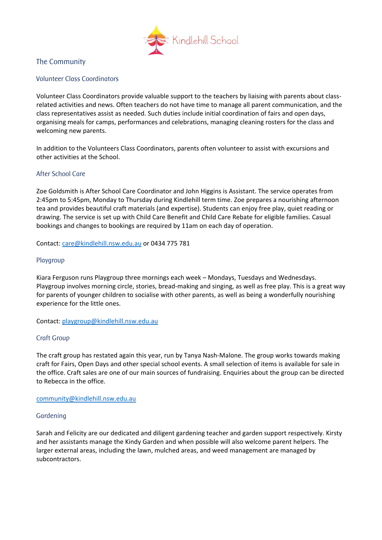

# The Community

# Volunteer Class Coordinators

Volunteer Class Coordinators provide valuable support to the teachers by liaising with parents about classrelated activities and news. Often teachers do not have time to manage all parent communication, and the class representatives assist as needed. Such duties include initial coordination of fairs and open days, organising meals for camps, performances and celebrations, managing cleaning rosters for the class and welcoming new parents.

In addition to the Volunteers Class Coordinators, parents often volunteer to assist with excursions and other activities at the School.

# After School Care

Zoe Goldsmith is After School Care Coordinator and John Higgins is Assistant. The service operates from 2:45pm to 5:45pm, Monday to Thursday during Kindlehill term time. Zoe prepares a nourishing afternoon tea and provides beautiful craft materials (and expertise). Students can enjoy free play, quiet reading or drawing. The service is set up with Child Care Benefit and Child Care Rebate for eligible families. Casual bookings and changes to bookings are required by 11am on each day of operation.

Contact: [care@kindlehill.nsw.edu.au](mailto:care@kindlehill.nsw.edu.au) or 0434 775 781

#### Playgroup

Kiara Ferguson runs Playgroup three mornings each week – Mondays, Tuesdays and Wednesdays. Playgroup involves morning circle, stories, bread-making and singing, as well as free play. This is a great way for parents of younger children to socialise with other parents, as well as being a wonderfully nourishing experience for the little ones.

Contact: [playgroup@kindlehill.nsw.edu.au](mailto:playgroup@kindlehill.nsw.edu.au)

#### Craft Group

The craft group has restated again this year, run by Tanya Nash-Malone. The group works towards making craft for Fairs, Open Days and other special school events. A small selection of items is available for sale in the office. Craft sales are one of our main sources of fundraising. Enquiries about the group can be directed to Rebecca in the office.

#### [community@kindlehill.nsw.edu.au](mailto:community@kindlehill.nsw.edu.au)

#### Gardening

Sarah and Felicity are our dedicated and diligent gardening teacher and garden support respectively. Kirsty and her assistants manage the Kindy Garden and when possible will also welcome parent helpers. The larger external areas, including the lawn, mulched areas, and weed management are managed by subcontractors.